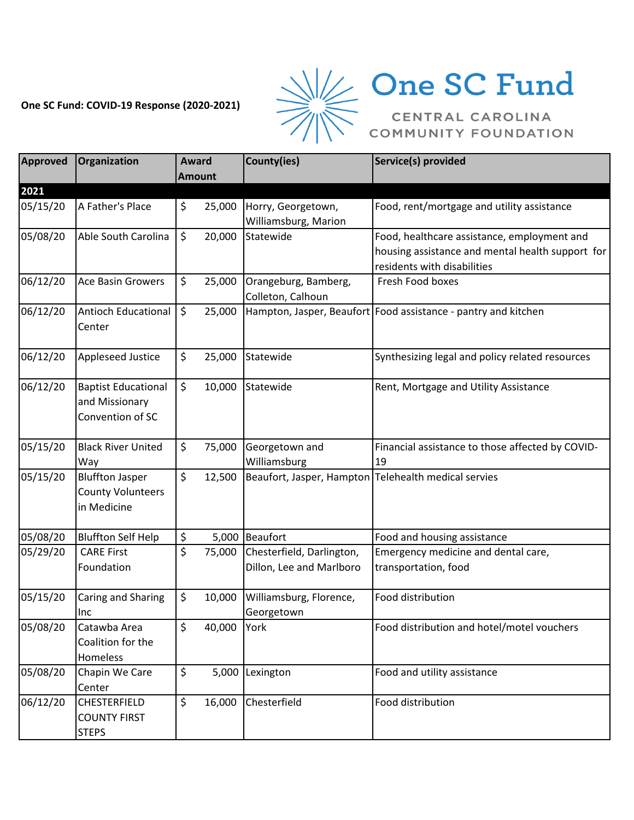## **One SC Fund: COVID-19 Response (2020-2021)**



## $\frac{1}{2}$  One SC Fund

| Approved | <b>Organization</b>                                               | <b>Award</b>  | County(ies)                                | Service(s) provided                                              |
|----------|-------------------------------------------------------------------|---------------|--------------------------------------------|------------------------------------------------------------------|
|          |                                                                   | <b>Amount</b> |                                            |                                                                  |
| 2021     |                                                                   |               |                                            |                                                                  |
| 05/15/20 | A Father's Place                                                  | \$<br>25,000  | Horry, Georgetown,<br>Williamsburg, Marion | Food, rent/mortgage and utility assistance                       |
| 05/08/20 | Able South Carolina                                               | \$<br>20,000  | Statewide                                  | Food, healthcare assistance, employment and                      |
|          |                                                                   |               |                                            | housing assistance and mental health support for                 |
|          |                                                                   |               |                                            | residents with disabilities                                      |
| 06/12/20 | <b>Ace Basin Growers</b>                                          | \$<br>25,000  | Orangeburg, Bamberg,<br>Colleton, Calhoun  | Fresh Food boxes                                                 |
| 06/12/20 | <b>Antioch Educational</b><br>Center                              | \$<br>25,000  |                                            | Hampton, Jasper, Beaufort   Food assistance - pantry and kitchen |
| 06/12/20 | <b>Appleseed Justice</b>                                          | \$<br>25,000  | Statewide                                  | Synthesizing legal and policy related resources                  |
| 06/12/20 | <b>Baptist Educational</b><br>and Missionary<br>Convention of SC  | \$<br>10,000  | Statewide                                  | Rent, Mortgage and Utility Assistance                            |
| 05/15/20 | <b>Black River United</b><br>Way                                  | \$<br>75,000  | Georgetown and<br>Williamsburg             | Financial assistance to those affected by COVID-<br>19           |
| 05/15/20 | <b>Bluffton Jasper</b><br><b>County Volunteers</b><br>in Medicine | \$<br>12,500  |                                            | Beaufort, Jasper, Hampton Telehealth medical servies             |
| 05/08/20 | <b>Bluffton Self Help</b>                                         | \$            | 5,000 Beaufort                             | Food and housing assistance                                      |
| 05/29/20 | <b>CARE First</b>                                                 | \$<br>75,000  | Chesterfield, Darlington,                  | Emergency medicine and dental care,                              |
|          | Foundation                                                        |               | Dillon, Lee and Marlboro                   | transportation, food                                             |
| 05/15/20 | Caring and Sharing<br>Inc                                         | \$<br>10,000  | Williamsburg, Florence,<br>Georgetown      | Food distribution                                                |
| 05/08/20 | Catawba Area<br>Coalition for the<br>Homeless                     | \$<br>40,000  | York                                       | Food distribution and hotel/motel vouchers                       |
| 05/08/20 | Chapin We Care<br>Center                                          | \$<br>5,000   | Lexington                                  | Food and utility assistance                                      |
| 06/12/20 | <b>CHESTERFIELD</b><br><b>COUNTY FIRST</b><br><b>STEPS</b>        | \$<br>16,000  | Chesterfield                               | Food distribution                                                |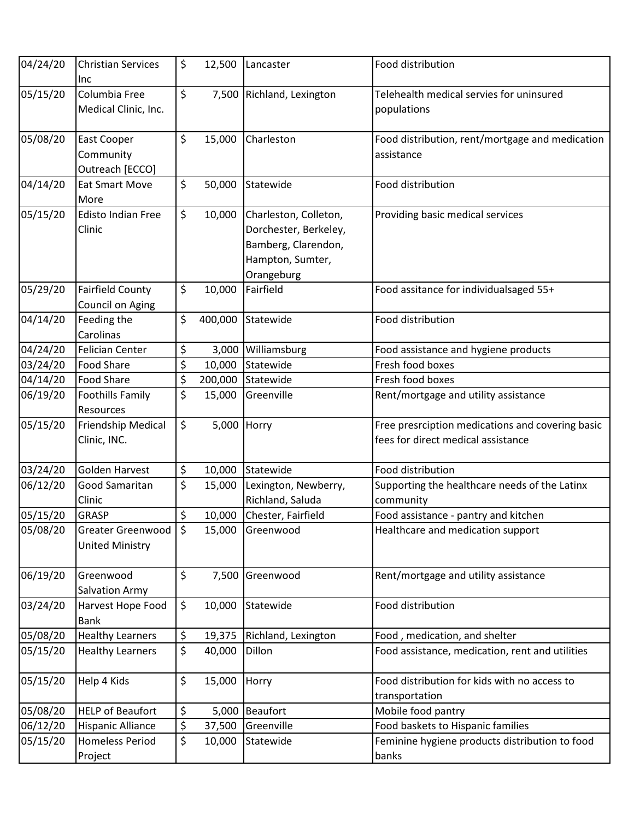| 04/24/20 | <b>Christian Services</b><br>Inc              | \$<br>12,500      | Lancaster                                                                                               | Food distribution                                                                      |
|----------|-----------------------------------------------|-------------------|---------------------------------------------------------------------------------------------------------|----------------------------------------------------------------------------------------|
| 05/15/20 | Columbia Free<br>Medical Clinic, Inc.         | \$                | 7,500 Richland, Lexington                                                                               | Telehealth medical servies for uninsured<br>populations                                |
| 05/08/20 | East Cooper<br>Community<br>Outreach [ECCO]   | \$<br>15,000      | Charleston                                                                                              | Food distribution, rent/mortgage and medication<br>assistance                          |
| 04/14/20 | <b>Eat Smart Move</b><br>More                 | \$<br>50,000      | Statewide                                                                                               | Food distribution                                                                      |
| 05/15/20 | <b>Edisto Indian Free</b><br>Clinic           | \$<br>10,000      | Charleston, Colleton,<br>Dorchester, Berkeley,<br>Bamberg, Clarendon,<br>Hampton, Sumter,<br>Orangeburg | Providing basic medical services                                                       |
| 05/29/20 | <b>Fairfield County</b><br>Council on Aging   | \$<br>10,000      | Fairfield                                                                                               | Food assitance for individualsaged 55+                                                 |
| 04/14/20 | Feeding the<br>Carolinas                      | \$<br>400,000     | Statewide                                                                                               | Food distribution                                                                      |
| 04/24/20 | <b>Felician Center</b>                        | \$<br>3,000       | Williamsburg                                                                                            | Food assistance and hygiene products                                                   |
| 03/24/20 | <b>Food Share</b>                             | \$<br>10,000      | Statewide                                                                                               | Fresh food boxes                                                                       |
| 04/14/20 | <b>Food Share</b>                             | \$<br>200,000     | Statewide                                                                                               | Fresh food boxes                                                                       |
| 06/19/20 | Foothills Family<br>Resources                 | \$<br>15,000      | Greenville                                                                                              | Rent/mortgage and utility assistance                                                   |
| 05/15/20 | Friendship Medical<br>Clinic, INC.            | \$<br>5,000 Horry |                                                                                                         | Free presrciption medications and covering basic<br>fees for direct medical assistance |
| 03/24/20 | <b>Golden Harvest</b>                         | \$<br>10,000      | Statewide                                                                                               | Food distribution                                                                      |
| 06/12/20 | Good Samaritan<br>Clinic                      | \$<br>15,000      | Lexington, Newberry,<br>Richland, Saluda                                                                | Supporting the healthcare needs of the Latinx<br>community                             |
| 05/15/20 | <b>GRASP</b>                                  | \$<br>10,000      | Chester, Fairfield                                                                                      | Food assistance - pantry and kitchen                                                   |
| 05/08/20 | Greater Greenwood S<br><b>United Ministry</b> | 15,000            | Greenwood                                                                                               | Healthcare and medication support                                                      |
| 06/19/20 | Greenwood<br><b>Salvation Army</b>            | \$<br>7,500       | Greenwood                                                                                               | Rent/mortgage and utility assistance                                                   |
| 03/24/20 | Harvest Hope Food<br><b>Bank</b>              | \$<br>10,000      | Statewide                                                                                               | Food distribution                                                                      |
| 05/08/20 | <b>Healthy Learners</b>                       | \$<br>19,375      | Richland, Lexington                                                                                     | Food, medication, and shelter                                                          |
| 05/15/20 | <b>Healthy Learners</b>                       | \$<br>40,000      | Dillon                                                                                                  | Food assistance, medication, rent and utilities                                        |
| 05/15/20 | Help 4 Kids                                   | \$<br>15,000      | Horry                                                                                                   | Food distribution for kids with no access to<br>transportation                         |
| 05/08/20 | <b>HELP of Beaufort</b>                       | \$                | 5,000 Beaufort                                                                                          | Mobile food pantry                                                                     |
| 06/12/20 | <b>Hispanic Alliance</b>                      | \$<br>37,500      | Greenville                                                                                              | Food baskets to Hispanic families                                                      |
| 05/15/20 | <b>Homeless Period</b><br>Project             | \$<br>10,000      | Statewide                                                                                               | Feminine hygiene products distribution to food<br>banks                                |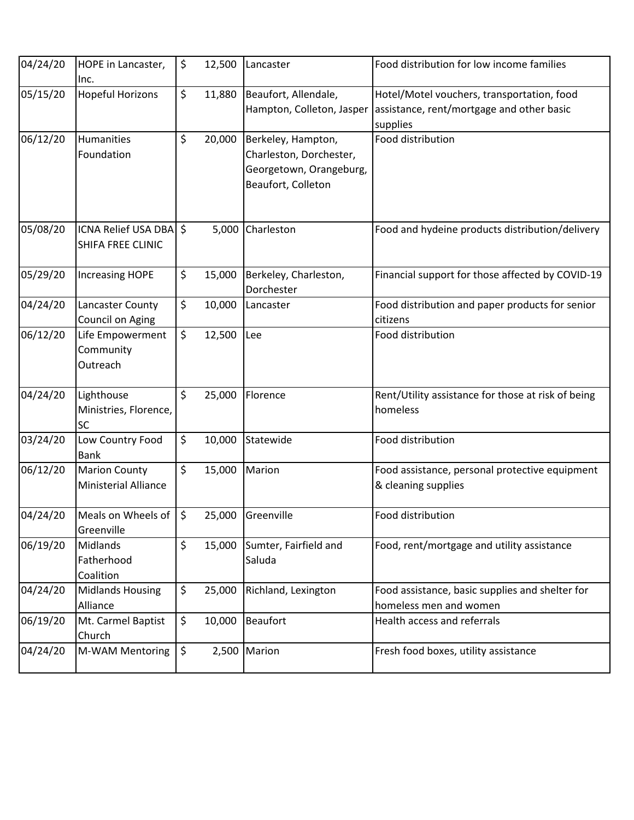| 04/24/20 | HOPE in Lancaster,<br>Inc.                          | \$           | 12,500 | Lancaster                                                                                      | Food distribution for low income families                                                           |
|----------|-----------------------------------------------------|--------------|--------|------------------------------------------------------------------------------------------------|-----------------------------------------------------------------------------------------------------|
| 05/15/20 | <b>Hopeful Horizons</b>                             | \$           | 11,880 | Beaufort, Allendale,<br>Hampton, Colleton, Jasper                                              | Hotel/Motel vouchers, transportation, food<br>assistance, rent/mortgage and other basic<br>supplies |
| 06/12/20 | Humanities<br>Foundation                            | \$           | 20,000 | Berkeley, Hampton,<br>Charleston, Dorchester,<br>Georgetown, Orangeburg,<br>Beaufort, Colleton | Food distribution                                                                                   |
| 05/08/20 | <b>ICNA Relief USA DBA</b><br>SHIFA FREE CLINIC     | $\mathsf{S}$ | 5,000  | Charleston                                                                                     | Food and hydeine products distribution/delivery                                                     |
| 05/29/20 | <b>Increasing HOPE</b>                              | \$           | 15,000 | Berkeley, Charleston,<br>Dorchester                                                            | Financial support for those affected by COVID-19                                                    |
| 04/24/20 | Lancaster County<br>Council on Aging                | \$           | 10,000 | Lancaster                                                                                      | Food distribution and paper products for senior<br>citizens                                         |
| 06/12/20 | Life Empowerment<br>Community<br>Outreach           | \$           | 12,500 | Lee                                                                                            | Food distribution                                                                                   |
| 04/24/20 | Lighthouse<br>Ministries, Florence,<br><b>SC</b>    | \$           | 25,000 | Florence                                                                                       | Rent/Utility assistance for those at risk of being<br>homeless                                      |
| 03/24/20 | Low Country Food<br><b>Bank</b>                     | \$           | 10,000 | Statewide                                                                                      | Food distribution                                                                                   |
| 06/12/20 | <b>Marion County</b><br><b>Ministerial Alliance</b> | \$           | 15,000 | Marion                                                                                         | Food assistance, personal protective equipment<br>& cleaning supplies                               |
| 04/24/20 | Meals on Wheels of $\frac{1}{5}$<br>Greenville      |              | 25,000 | Greenville                                                                                     | Food distribution                                                                                   |
| 06/19/20 | Midlands<br>Fatherhood<br>Coalition                 | \$           | 15,000 | Sumter, Fairfield and<br>Saluda                                                                | Food, rent/mortgage and utility assistance                                                          |
| 04/24/20 | <b>Midlands Housing</b><br>Alliance                 | \$           | 25,000 | Richland, Lexington                                                                            | Food assistance, basic supplies and shelter for<br>homeless men and women                           |
| 06/19/20 | Mt. Carmel Baptist<br>Church                        | \$           | 10,000 | <b>Beaufort</b>                                                                                | Health access and referrals                                                                         |
| 04/24/20 | M-WAM Mentoring                                     | \$           | 2,500  | Marion                                                                                         | Fresh food boxes, utility assistance                                                                |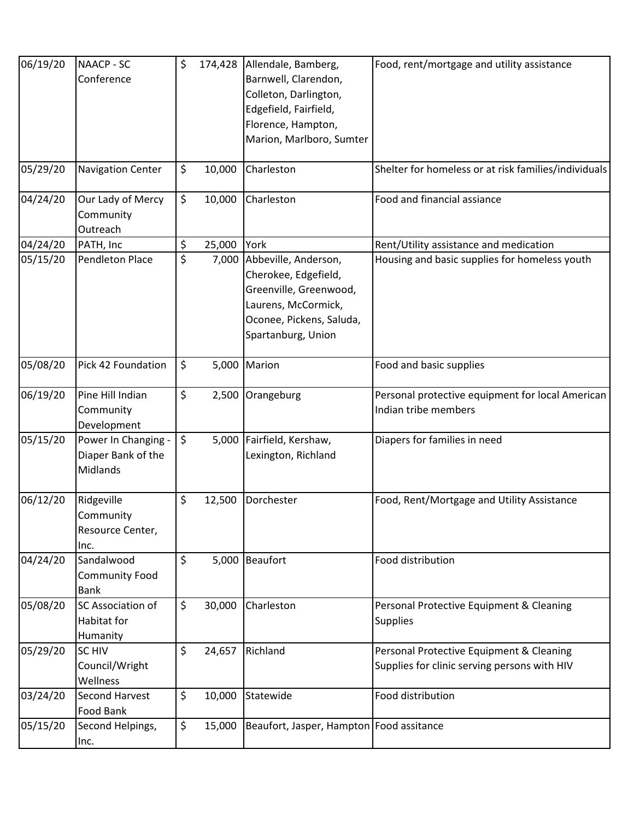| 06/19/20 | <b>NAACP - SC</b><br>Conference                       | \$  | 174,428 | Allendale, Bamberg,<br>Barnwell, Clarendon,<br>Colleton, Darlington,<br>Edgefield, Fairfield,<br>Florence, Hampton,<br>Marion, Marlboro, Sumter       | Food, rent/mortgage and utility assistance                                               |
|----------|-------------------------------------------------------|-----|---------|-------------------------------------------------------------------------------------------------------------------------------------------------------|------------------------------------------------------------------------------------------|
| 05/29/20 | <b>Navigation Center</b>                              | \$  | 10,000  | Charleston                                                                                                                                            | Shelter for homeless or at risk families/individuals                                     |
| 04/24/20 | Our Lady of Mercy<br>Community<br>Outreach            | \$. | 10,000  | Charleston                                                                                                                                            | Food and financial assiance                                                              |
| 04/24/20 | PATH, Inc                                             | \$  | 25,000  | York                                                                                                                                                  | Rent/Utility assistance and medication                                                   |
| 05/15/20 | <b>Pendleton Place</b>                                | \$  |         | 7,000 Abbeville, Anderson,<br>Cherokee, Edgefield,<br>Greenville, Greenwood,<br>Laurens, McCormick,<br>Oconee, Pickens, Saluda,<br>Spartanburg, Union | Housing and basic supplies for homeless youth                                            |
| 05/08/20 | Pick 42 Foundation                                    | \$  | 5,000   | Marion                                                                                                                                                | Food and basic supplies                                                                  |
| 06/19/20 | Pine Hill Indian<br>Community<br>Development          | \$  |         | 2,500 Orangeburg                                                                                                                                      | Personal protective equipment for local American<br>Indian tribe members                 |
| 05/15/20 | Power In Changing -<br>Diaper Bank of the<br>Midlands | \$  | 5,000   | Fairfield, Kershaw,<br>Lexington, Richland                                                                                                            | Diapers for families in need                                                             |
| 06/12/20 | Ridgeville<br>Community<br>Resource Center,<br>Inc.   | \$  | 12,500  | Dorchester                                                                                                                                            | Food, Rent/Mortgage and Utility Assistance                                               |
| 04/24/20 | Sandalwood<br>Community Food<br><b>Bank</b>           | \$  | 5,000   | Beaufort                                                                                                                                              | Food distribution                                                                        |
| 05/08/20 | SC Association of<br>Habitat for<br>Humanity          | \$  | 30,000  | Charleston                                                                                                                                            | Personal Protective Equipment & Cleaning<br><b>Supplies</b>                              |
| 05/29/20 | <b>SC HIV</b><br>Council/Wright<br>Wellness           | \$  | 24,657  | Richland                                                                                                                                              | Personal Protective Equipment & Cleaning<br>Supplies for clinic serving persons with HIV |
| 03/24/20 | <b>Second Harvest</b><br>Food Bank                    | \$  | 10,000  | Statewide                                                                                                                                             | Food distribution                                                                        |
| 05/15/20 | Second Helpings,<br>Inc.                              | \$  | 15,000  | Beaufort, Jasper, Hampton Food assitance                                                                                                              |                                                                                          |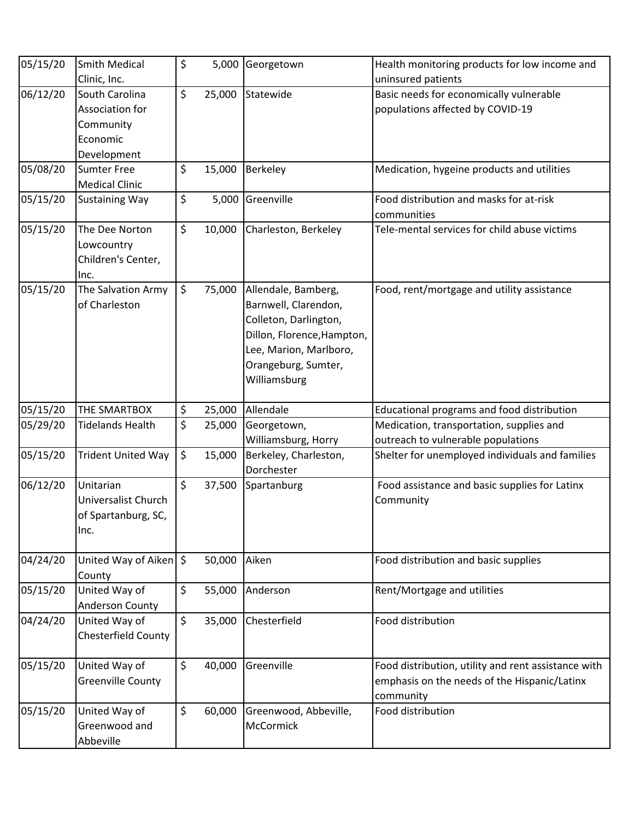| 05/15/20 | <b>Smith Medical</b>                                                      | \$<br>5,000  | Georgetown                                                                                                                                                          | Health monitoring products for low income and                                                                    |
|----------|---------------------------------------------------------------------------|--------------|---------------------------------------------------------------------------------------------------------------------------------------------------------------------|------------------------------------------------------------------------------------------------------------------|
|          | Clinic, Inc.                                                              |              |                                                                                                                                                                     | uninsured patients                                                                                               |
| 06/12/20 | South Carolina<br>Association for<br>Community<br>Economic<br>Development | \$<br>25,000 | Statewide                                                                                                                                                           | Basic needs for economically vulnerable<br>populations affected by COVID-19                                      |
| 05/08/20 | <b>Sumter Free</b><br><b>Medical Clinic</b>                               | \$<br>15,000 | Berkeley                                                                                                                                                            | Medication, hygeine products and utilities                                                                       |
| 05/15/20 | <b>Sustaining Way</b>                                                     | \$<br>5,000  | Greenville                                                                                                                                                          | Food distribution and masks for at-risk<br>communities                                                           |
| 05/15/20 | The Dee Norton<br>Lowcountry<br>Children's Center,<br>Inc.                | \$<br>10,000 | Charleston, Berkeley                                                                                                                                                | Tele-mental services for child abuse victims                                                                     |
| 05/15/20 | The Salvation Army<br>of Charleston                                       | \$<br>75,000 | Allendale, Bamberg,<br>Barnwell, Clarendon,<br>Colleton, Darlington,<br>Dillon, Florence, Hampton,<br>Lee, Marion, Marlboro,<br>Orangeburg, Sumter,<br>Williamsburg | Food, rent/mortgage and utility assistance                                                                       |
| 05/15/20 | THE SMARTBOX                                                              | \$<br>25,000 | Allendale                                                                                                                                                           | Educational programs and food distribution                                                                       |
| 05/29/20 | <b>Tidelands Health</b>                                                   | \$<br>25,000 | Georgetown,                                                                                                                                                         | Medication, transportation, supplies and                                                                         |
|          |                                                                           |              | Williamsburg, Horry                                                                                                                                                 | outreach to vulnerable populations                                                                               |
| 05/15/20 | <b>Trident United Way</b>                                                 | \$<br>15,000 | Berkeley, Charleston,<br>Dorchester                                                                                                                                 | Shelter for unemployed individuals and families                                                                  |
| 06/12/20 | Unitarian<br>Universalist Church<br>of Spartanburg, SC,<br>Inc.           | \$<br>37,500 | Spartanburg                                                                                                                                                         | Food assistance and basic supplies for Latinx<br>Community                                                       |
| 04/24/20 | United Way of Aiken $\frac{1}{2}$<br>County                               | 50,000       | Aiken                                                                                                                                                               | Food distribution and basic supplies                                                                             |
| 05/15/20 | United Way of<br><b>Anderson County</b>                                   | \$<br>55,000 | Anderson                                                                                                                                                            | Rent/Mortgage and utilities                                                                                      |
| 04/24/20 | United Way of<br>Chesterfield County                                      | \$<br>35,000 | Chesterfield                                                                                                                                                        | Food distribution                                                                                                |
| 05/15/20 | United Way of<br><b>Greenville County</b>                                 | \$<br>40,000 | Greenville                                                                                                                                                          | Food distribution, utility and rent assistance with<br>emphasis on the needs of the Hispanic/Latinx<br>community |
| 05/15/20 | United Way of<br>Greenwood and<br>Abbeville                               | \$<br>60,000 | Greenwood, Abbeville,<br>McCormick                                                                                                                                  | Food distribution                                                                                                |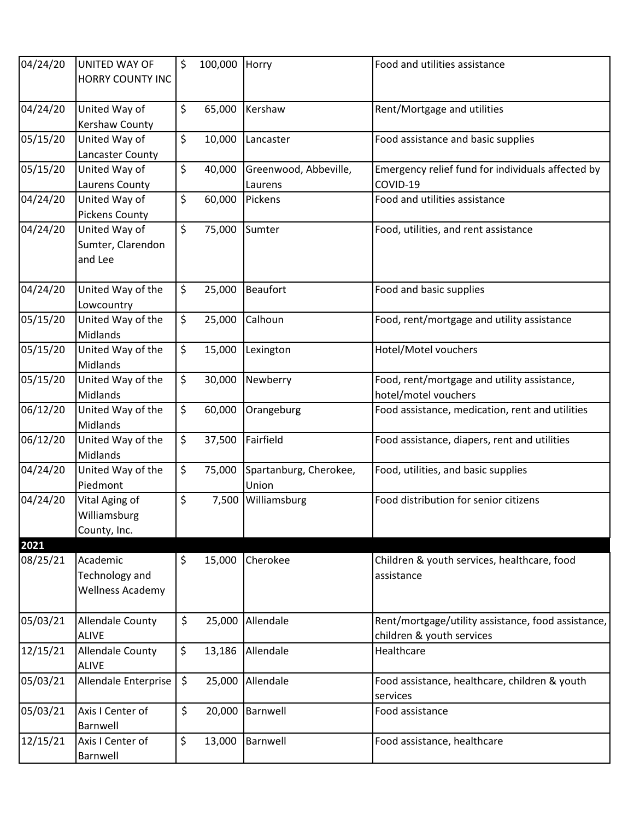| 04/24/20 | <b>UNITED WAY OF</b><br>HORRY COUNTY INC              | \$      | 100,000 | Horry                            | Food and utilities assistance                                                   |
|----------|-------------------------------------------------------|---------|---------|----------------------------------|---------------------------------------------------------------------------------|
| 04/24/20 | United Way of<br>Kershaw County                       | $\zeta$ | 65,000  | Kershaw                          | Rent/Mortgage and utilities                                                     |
| 05/15/20 | United Way of<br>Lancaster County                     | $\zeta$ | 10,000  | Lancaster                        | Food assistance and basic supplies                                              |
| 05/15/20 | United Way of<br>Laurens County                       | \$      | 40,000  | Greenwood, Abbeville,<br>Laurens | Emergency relief fund for individuals affected by<br>COVID-19                   |
| 04/24/20 | United Way of<br><b>Pickens County</b>                | \$      | 60,000  | Pickens                          | Food and utilities assistance                                                   |
| 04/24/20 | United Way of<br>Sumter, Clarendon<br>and Lee         | $\zeta$ | 75,000  | Sumter                           | Food, utilities, and rent assistance                                            |
| 04/24/20 | United Way of the<br>Lowcountry                       | \$      | 25,000  | <b>Beaufort</b>                  | Food and basic supplies                                                         |
| 05/15/20 | United Way of the<br>Midlands                         | \$      | 25,000  | Calhoun                          | Food, rent/mortgage and utility assistance                                      |
| 05/15/20 | United Way of the<br>Midlands                         | \$      | 15,000  | Lexington                        | Hotel/Motel vouchers                                                            |
| 05/15/20 | United Way of the<br><b>Midlands</b>                  | \$      | 30,000  | Newberry                         | Food, rent/mortgage and utility assistance,<br>hotel/motel vouchers             |
| 06/12/20 | United Way of the<br>Midlands                         | \$      | 60,000  | Orangeburg                       | Food assistance, medication, rent and utilities                                 |
| 06/12/20 | United Way of the<br>Midlands                         | \$      | 37,500  | Fairfield                        | Food assistance, diapers, rent and utilities                                    |
| 04/24/20 | United Way of the<br>Piedmont                         | \$      | 75,000  | Spartanburg, Cherokee,<br>Union  | Food, utilities, and basic supplies                                             |
| 04/24/20 | Vital Aging of<br>Williamsburg<br>County, Inc.        | \$      | 7,500   | Williamsburg                     | Food distribution for senior citizens                                           |
| 2021     |                                                       |         |         |                                  |                                                                                 |
| 08/25/21 | Academic<br>Technology and<br><b>Wellness Academy</b> | \$      | 15,000  | Cherokee                         | Children & youth services, healthcare, food<br>assistance                       |
| 05/03/21 | <b>Allendale County</b><br><b>ALIVE</b>               | \$      | 25,000  | Allendale                        | Rent/mortgage/utility assistance, food assistance,<br>children & youth services |
| 12/15/21 | <b>Allendale County</b><br><b>ALIVE</b>               | \$      | 13,186  | Allendale                        | Healthcare                                                                      |
| 05/03/21 | Allendale Enterprise                                  | \$      | 25,000  | Allendale                        | Food assistance, healthcare, children & youth<br>services                       |
| 05/03/21 | Axis I Center of<br>Barnwell                          | \$      | 20,000  | Barnwell                         | Food assistance                                                                 |
| 12/15/21 | Axis I Center of<br>Barnwell                          | \$      | 13,000  | Barnwell                         | Food assistance, healthcare                                                     |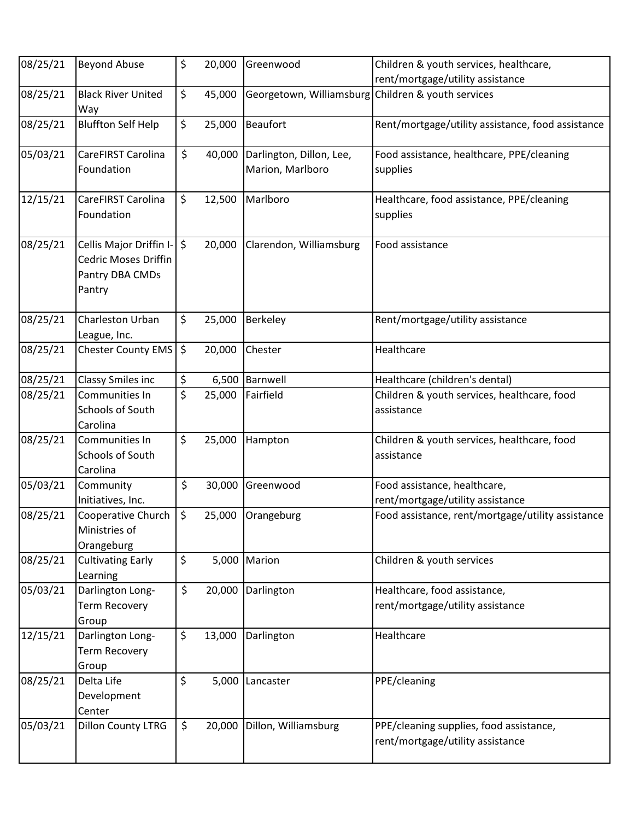| 08/25/21 | <b>Beyond Abuse</b>                                                               | \$<br>20,000 | Greenwood                                          | Children & youth services, healthcare,                                      |
|----------|-----------------------------------------------------------------------------------|--------------|----------------------------------------------------|-----------------------------------------------------------------------------|
| 08/25/21 | <b>Black River United</b>                                                         | \$<br>45,000 | Georgetown, Williamsburg Children & youth services | rent/mortgage/utility assistance                                            |
|          | Way                                                                               |              |                                                    |                                                                             |
| 08/25/21 | <b>Bluffton Self Help</b>                                                         | \$<br>25,000 | <b>Beaufort</b>                                    | Rent/mortgage/utility assistance, food assistance                           |
| 05/03/21 | CareFIRST Carolina<br>Foundation                                                  | \$<br>40,000 | Darlington, Dillon, Lee,<br>Marion, Marlboro       | Food assistance, healthcare, PPE/cleaning<br>supplies                       |
| 12/15/21 | CareFIRST Carolina<br>Foundation                                                  | \$<br>12,500 | Marlboro                                           | Healthcare, food assistance, PPE/cleaning<br>supplies                       |
| 08/25/21 | Cellis Major Driffin I-   \$<br>Cedric Moses Driffin<br>Pantry DBA CMDs<br>Pantry | 20,000       | Clarendon, Williamsburg                            | Food assistance                                                             |
| 08/25/21 | Charleston Urban<br>League, Inc.                                                  | \$<br>25,000 | <b>Berkeley</b>                                    | Rent/mortgage/utility assistance                                            |
| 08/25/21 | Chester County EMS                                                                | \$<br>20,000 | Chester                                            | Healthcare                                                                  |
| 08/25/21 | Classy Smiles inc                                                                 | \$           | 6,500 Barnwell                                     | Healthcare (children's dental)                                              |
| 08/25/21 | Communities In<br>Schools of South<br>Carolina                                    | \$<br>25,000 | Fairfield                                          | Children & youth services, healthcare, food<br>assistance                   |
| 08/25/21 | Communities In<br>Schools of South<br>Carolina                                    | \$<br>25,000 | Hampton                                            | Children & youth services, healthcare, food<br>assistance                   |
| 05/03/21 | Community                                                                         | \$<br>30,000 | Greenwood                                          | Food assistance, healthcare,                                                |
|          | Initiatives, Inc.                                                                 |              |                                                    | rent/mortgage/utility assistance                                            |
| 08/25/21 | Cooperative Church $\frac{1}{5}$<br>Ministries of<br>Orangeburg                   |              | 25,000 Orangeburg                                  | Food assistance, rent/mortgage/utility assistance                           |
| 08/25/21 | <b>Cultivating Early</b><br>Learning                                              | \$<br>5,000  | Marion                                             | Children & youth services                                                   |
| 05/03/21 | Darlington Long-<br><b>Term Recovery</b><br>Group                                 | \$           | 20,000 Darlington                                  | Healthcare, food assistance,<br>rent/mortgage/utility assistance            |
| 12/15/21 | Darlington Long-<br><b>Term Recovery</b><br>Group                                 | \$<br>13,000 | Darlington                                         | Healthcare                                                                  |
| 08/25/21 | Delta Life<br>Development<br>Center                                               | \$           | 5,000 Lancaster                                    | PPE/cleaning                                                                |
| 05/03/21 | <b>Dillon County LTRG</b>                                                         | \$<br>20,000 | Dillon, Williamsburg                               | PPE/cleaning supplies, food assistance,<br>rent/mortgage/utility assistance |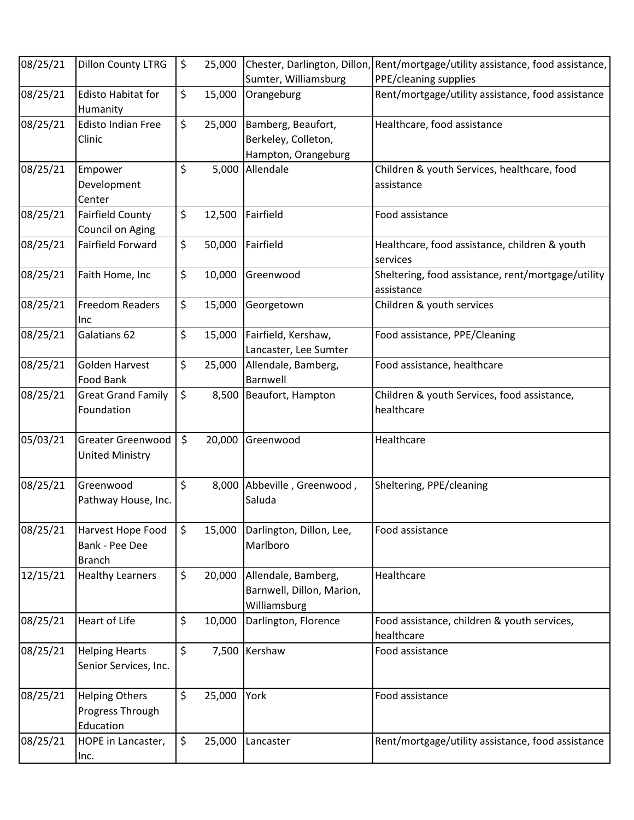| 08/25/21 | <b>Dillon County LTRG</b>                              | \$      | 25,000 |                                                                  | Chester, Darlington, Dillon, Rent/mortgage/utility assistance, food assistance, |
|----------|--------------------------------------------------------|---------|--------|------------------------------------------------------------------|---------------------------------------------------------------------------------|
|          |                                                        |         |        | Sumter, Williamsburg                                             | PPE/cleaning supplies                                                           |
| 08/25/21 | <b>Edisto Habitat for</b><br>Humanity                  | \$      | 15,000 | Orangeburg                                                       | Rent/mortgage/utility assistance, food assistance                               |
| 08/25/21 | <b>Edisto Indian Free</b><br>Clinic                    | \$      | 25,000 | Bamberg, Beaufort,<br>Berkeley, Colleton,<br>Hampton, Orangeburg | Healthcare, food assistance                                                     |
| 08/25/21 | Empower<br>Development<br>Center                       | \$      | 5,000  | Allendale                                                        | Children & youth Services, healthcare, food<br>assistance                       |
| 08/25/21 | <b>Fairfield County</b><br>Council on Aging            | \$      | 12,500 | Fairfield                                                        | Food assistance                                                                 |
| 08/25/21 | <b>Fairfield Forward</b>                               | \$      | 50,000 | Fairfield                                                        | Healthcare, food assistance, children & youth<br>services                       |
| 08/25/21 | Faith Home, Inc                                        | \$      | 10,000 | Greenwood                                                        | Sheltering, food assistance, rent/mortgage/utility<br>assistance                |
| 08/25/21 | <b>Freedom Readers</b><br>Inc                          | \$      | 15,000 | Georgetown                                                       | Children & youth services                                                       |
| 08/25/21 | Galatians 62                                           | \$      | 15,000 | Fairfield, Kershaw,<br>Lancaster, Lee Sumter                     | Food assistance, PPE/Cleaning                                                   |
| 08/25/21 | Golden Harvest<br><b>Food Bank</b>                     | \$      | 25,000 | Allendale, Bamberg,<br>Barnwell                                  | Food assistance, healthcare                                                     |
| 08/25/21 | <b>Great Grand Family</b><br>Foundation                | \$      | 8,500  | Beaufort, Hampton                                                | Children & youth Services, food assistance,<br>healthcare                       |
| 05/03/21 | <b>Greater Greenwood</b><br><b>United Ministry</b>     | $\zeta$ | 20,000 | Greenwood                                                        | Healthcare                                                                      |
| 08/25/21 | Greenwood<br>Pathway House, Inc.                       | \$      | 8,000  | Abbeville, Greenwood,<br>Saluda                                  | Sheltering, PPE/cleaning                                                        |
| 08/25/21 | Harvest Hope Food<br>Bank - Pee Dee<br><b>Branch</b>   | \$      | 15,000 | Darlington, Dillon, Lee,<br>Marlboro                             | Food assistance                                                                 |
| 12/15/21 | <b>Healthy Learners</b>                                | \$      | 20,000 | Allendale, Bamberg,<br>Barnwell, Dillon, Marion,<br>Williamsburg | Healthcare                                                                      |
| 08/25/21 | <b>Heart of Life</b>                                   | \$      | 10,000 | Darlington, Florence                                             | Food assistance, children & youth services,<br>healthcare                       |
| 08/25/21 | <b>Helping Hearts</b><br>Senior Services, Inc.         | \$      | 7,500  | Kershaw                                                          | Food assistance                                                                 |
| 08/25/21 | <b>Helping Others</b><br>Progress Through<br>Education | \$      | 25,000 | York                                                             | Food assistance                                                                 |
| 08/25/21 | HOPE in Lancaster,<br>Inc.                             | \$      | 25,000 | Lancaster                                                        | Rent/mortgage/utility assistance, food assistance                               |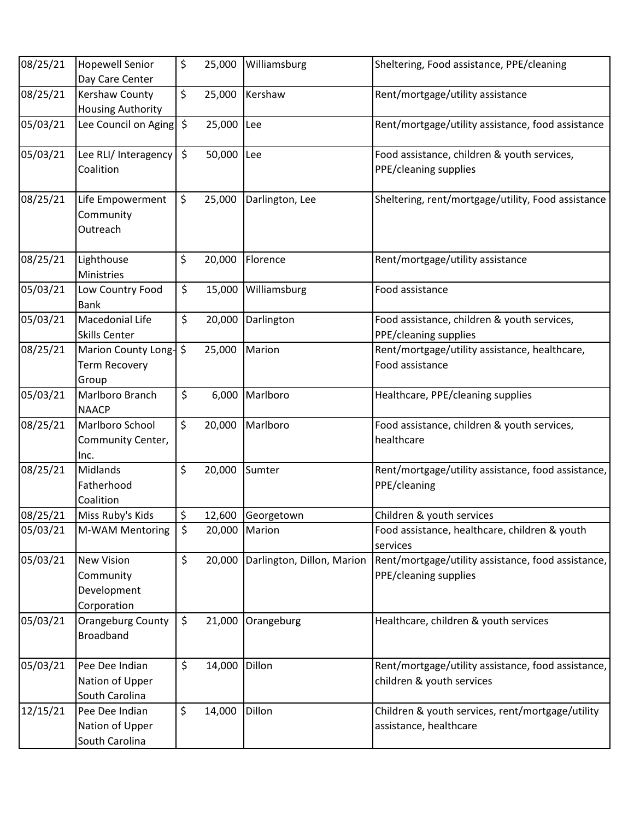| 08/25/21 | <b>Hopewell Senior</b><br>Day Care Center                    | \$<br>25,000 | Williamsburg               | Sheltering, Food assistance, PPE/cleaning                                       |
|----------|--------------------------------------------------------------|--------------|----------------------------|---------------------------------------------------------------------------------|
| 08/25/21 | <b>Kershaw County</b><br>Housing Authority                   | \$<br>25,000 | Kershaw                    | Rent/mortgage/utility assistance                                                |
| 05/03/21 | Lee Council on Aging                                         | \$<br>25,000 | Lee                        | Rent/mortgage/utility assistance, food assistance                               |
| 05/03/21 | Lee RLI/ Interagency<br>Coalition                            | \$<br>50,000 | Lee                        | Food assistance, children & youth services,<br>PPE/cleaning supplies            |
| 08/25/21 | Life Empowerment<br>Community<br>Outreach                    | \$<br>25,000 | Darlington, Lee            | Sheltering, rent/mortgage/utility, Food assistance                              |
| 08/25/21 | Lighthouse<br>Ministries                                     | \$<br>20,000 | Florence                   | Rent/mortgage/utility assistance                                                |
| 05/03/21 | Low Country Food<br><b>Bank</b>                              | \$<br>15,000 | Williamsburg               | Food assistance                                                                 |
| 05/03/21 | <b>Macedonial Life</b><br><b>Skills Center</b>               | \$<br>20,000 | Darlington                 | Food assistance, children & youth services,<br>PPE/cleaning supplies            |
| 08/25/21 | Marion County Long-<br><b>Term Recovery</b><br>Group         | \$<br>25,000 | Marion                     | Rent/mortgage/utility assistance, healthcare,<br>Food assistance                |
| 05/03/21 | Marlboro Branch<br><b>NAACP</b>                              | \$<br>6,000  | Marlboro                   | Healthcare, PPE/cleaning supplies                                               |
| 08/25/21 | Marlboro School<br>Community Center,<br>Inc.                 | \$<br>20,000 | Marlboro                   | Food assistance, children & youth services,<br>healthcare                       |
| 08/25/21 | Midlands<br>Fatherhood<br>Coalition                          | \$<br>20,000 | Sumter                     | Rent/mortgage/utility assistance, food assistance,<br>PPE/cleaning              |
| 08/25/21 | Miss Ruby's Kids                                             | \$<br>12,600 | Georgetown                 | Children & youth services                                                       |
| 05/03/21 | M-WAM Mentoring                                              | \$<br>20,000 | Marion                     | Food assistance, healthcare, children & youth<br>services                       |
| 05/03/21 | <b>New Vision</b><br>Community<br>Development<br>Corporation | \$<br>20,000 | Darlington, Dillon, Marion | Rent/mortgage/utility assistance, food assistance,<br>PPE/cleaning supplies     |
| 05/03/21 | Orangeburg County<br><b>Broadband</b>                        | \$<br>21,000 | Orangeburg                 | Healthcare, children & youth services                                           |
| 05/03/21 | Pee Dee Indian<br>Nation of Upper<br>South Carolina          | \$<br>14,000 | Dillon                     | Rent/mortgage/utility assistance, food assistance,<br>children & youth services |
| 12/15/21 | Pee Dee Indian<br>Nation of Upper<br>South Carolina          | \$<br>14,000 | Dillon                     | Children & youth services, rent/mortgage/utility<br>assistance, healthcare      |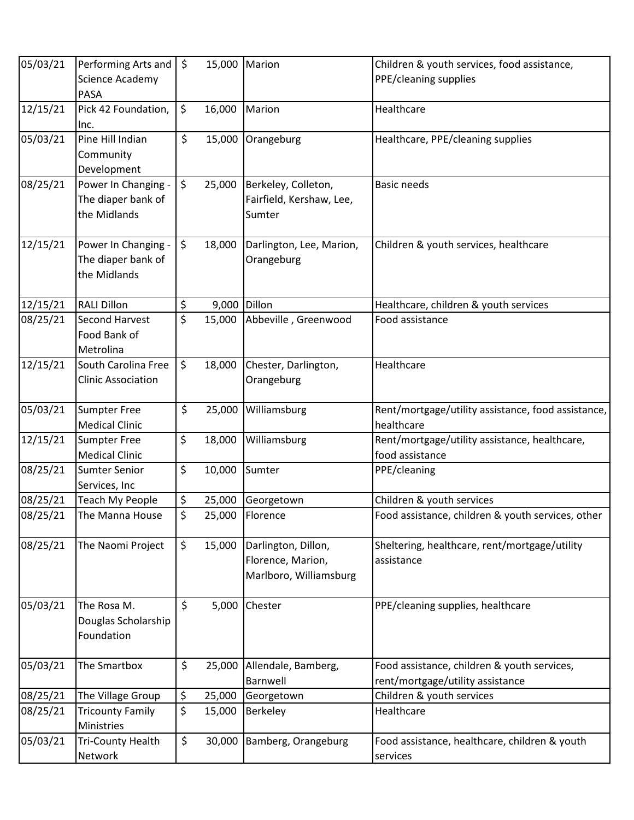| 05/03/21 | Performing Arts and   \$  |                      | 15,000 | Marion                   | Children & youth services, food assistance,        |
|----------|---------------------------|----------------------|--------|--------------------------|----------------------------------------------------|
|          | Science Academy           |                      |        |                          | PPE/cleaning supplies                              |
|          | <b>PASA</b>               |                      |        |                          |                                                    |
| 12/15/21 | Pick 42 Foundation,       | $\zeta$              | 16,000 | Marion                   | Healthcare                                         |
|          | Inc.                      |                      |        |                          |                                                    |
| 05/03/21 | Pine Hill Indian          | \$                   | 15,000 | Orangeburg               | Healthcare, PPE/cleaning supplies                  |
|          | Community                 |                      |        |                          |                                                    |
|          | Development               |                      |        |                          |                                                    |
| 08/25/21 | Power In Changing -       | \$                   | 25,000 | Berkeley, Colleton,      | <b>Basic needs</b>                                 |
|          | The diaper bank of        |                      |        | Fairfield, Kershaw, Lee, |                                                    |
|          | the Midlands              |                      |        | Sumter                   |                                                    |
|          |                           |                      |        |                          |                                                    |
| 12/15/21 | Power In Changing -       | \$                   | 18,000 | Darlington, Lee, Marion, | Children & youth services, healthcare              |
|          | The diaper bank of        |                      |        | Orangeburg               |                                                    |
|          | the Midlands              |                      |        |                          |                                                    |
|          |                           |                      |        |                          |                                                    |
| 12/15/21 | <b>RALI Dillon</b>        | \$                   | 9,000  | Dillon                   | Healthcare, children & youth services              |
| 08/25/21 | <b>Second Harvest</b>     | \$                   | 15,000 | Abbeville, Greenwood     | Food assistance                                    |
|          | Food Bank of              |                      |        |                          |                                                    |
|          | Metrolina                 |                      |        |                          |                                                    |
| 12/15/21 | South Carolina Free       | \$                   | 18,000 | Chester, Darlington,     | Healthcare                                         |
|          | <b>Clinic Association</b> |                      |        | Orangeburg               |                                                    |
|          |                           |                      |        |                          |                                                    |
| 05/03/21 | <b>Sumpter Free</b>       | \$                   | 25,000 | Williamsburg             | Rent/mortgage/utility assistance, food assistance, |
|          | <b>Medical Clinic</b>     |                      |        |                          | healthcare                                         |
| 12/15/21 | Sumpter Free              | \$                   | 18,000 | Williamsburg             | Rent/mortgage/utility assistance, healthcare,      |
|          | <b>Medical Clinic</b>     |                      |        |                          | food assistance                                    |
| 08/25/21 | <b>Sumter Senior</b>      | \$                   | 10,000 | Sumter                   | PPE/cleaning                                       |
|          | Services, Inc             |                      |        |                          |                                                    |
| 08/25/21 | <b>Teach My People</b>    | \$                   | 25,000 | Georgetown               | Children & youth services                          |
| 08/25/21 | The Manna House           | $\boldsymbol{\zeta}$ | 25,000 | Florence                 | Food assistance, children & youth services, other  |
|          |                           |                      |        |                          |                                                    |
| 08/25/21 | The Naomi Project         | $\zeta$              | 15,000 | Darlington, Dillon,      | Sheltering, healthcare, rent/mortgage/utility      |
|          |                           |                      |        | Florence, Marion,        | assistance                                         |
|          |                           |                      |        | Marlboro, Williamsburg   |                                                    |
|          |                           |                      |        |                          |                                                    |
| 05/03/21 | The Rosa M.               | \$                   | 5,000  | Chester                  | PPE/cleaning supplies, healthcare                  |
|          | Douglas Scholarship       |                      |        |                          |                                                    |
|          | Foundation                |                      |        |                          |                                                    |
|          |                           |                      |        |                          |                                                    |
| 05/03/21 | The Smartbox              | \$                   | 25,000 | Allendale, Bamberg,      | Food assistance, children & youth services,        |
|          |                           |                      |        | Barnwell                 | rent/mortgage/utility assistance                   |
| 08/25/21 | The Village Group         | \$                   | 25,000 | Georgetown               | Children & youth services                          |
| 08/25/21 | <b>Tricounty Family</b>   | \$                   | 15,000 | <b>Berkeley</b>          | Healthcare                                         |
|          | Ministries                |                      |        |                          |                                                    |
| 05/03/21 | <b>Tri-County Health</b>  | \$                   | 30,000 | Bamberg, Orangeburg      | Food assistance, healthcare, children & youth      |
|          | Network                   |                      |        |                          | services                                           |
|          |                           |                      |        |                          |                                                    |